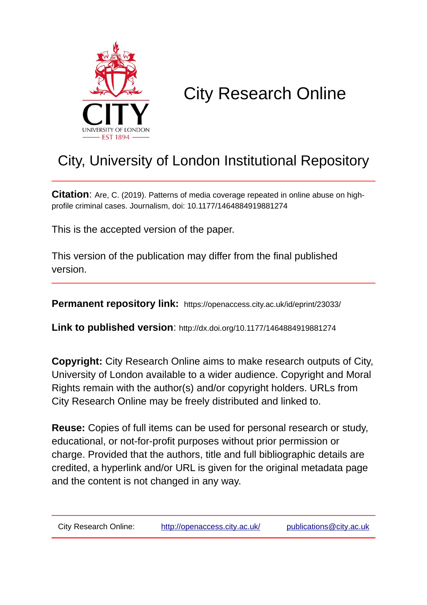

# City Research Online

# City, University of London Institutional Repository

**Citation**: Are, C. (2019). Patterns of media coverage repeated in online abuse on highprofile criminal cases. Journalism, doi: 10.1177/1464884919881274

This is the accepted version of the paper.

This version of the publication may differ from the final published version.

**Permanent repository link:** https://openaccess.city.ac.uk/id/eprint/23033/

**Link to published version**: http://dx.doi.org/10.1177/1464884919881274

**Copyright:** City Research Online aims to make research outputs of City, University of London available to a wider audience. Copyright and Moral Rights remain with the author(s) and/or copyright holders. URLs from City Research Online may be freely distributed and linked to.

**Reuse:** Copies of full items can be used for personal research or study, educational, or not-for-profit purposes without prior permission or charge. Provided that the authors, title and full bibliographic details are credited, a hyperlink and/or URL is given for the original metadata page and the content is not changed in any way.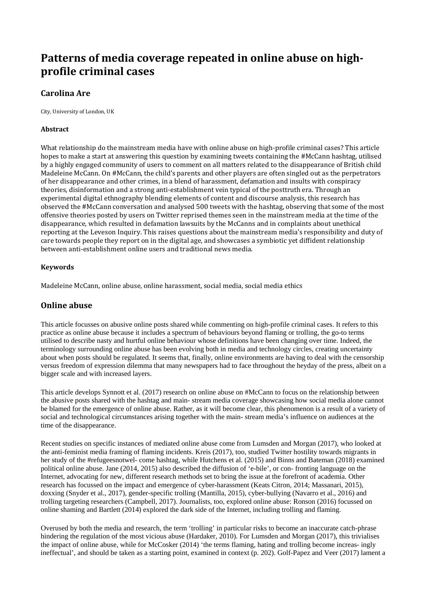# **Patterns of media coverage repeated in online abuse on highprofile criminal cases**

# **Carolina Are**

City, University of London, UK

## **Abstract**

What relationship do the mainstream media have with online abuse on high-profile criminal cases? This article hopes to make a start at answering this question by examining tweets containing the #McCann hashtag, utilised by a highly engaged community of users to comment on all matters related to the disappearance of British child Madeleine McCann. On #McCann, the child's parents and other players are often singled out as the perpetrators of her disappearance and other crimes, in a blend of harassment, defamation and insults with conspiracy theories, disinformation and a strong anti-establishment vein typical of the posttruth era. Through an experimental digital ethnography blending elements of content and discourse analysis, this research has observed the #McCann conversation and analysed 500 tweets with the hashtag, observing that some of the most offensive theories posted by users on Twitter reprised themes seen in the mainstream media at the time of the disappearance, which resulted in defamation lawsuits by the McCanns and in complaints about unethical reporting at the Leveson Inquiry. This raises questions about the mainstream media's responsibility and duty of care towards people they report on in the digital age, and showcases a symbiotic yet diffident relationship between anti-establishment online users and traditional news media.

### **Keywords**

Madeleine McCann, online abuse, online harassment, social media, social media ethics

# **Online abuse**

This article focusses on abusive online posts shared while commenting on high-profile criminal cases. It refers to this practice as online abuse because it includes a spectrum of behaviours beyond flaming or trolling, the go-to terms utilised to describe nasty and hurtful online behaviour whose definitions have been changing over time. Indeed, the terminology surrounding online abuse has been evolving both in media and technology circles, creating uncertainty about when posts should be regulated. It seems that, finally, online environments are having to deal with the censorship versus freedom of expression dilemma that many newspapers had to face throughout the heyday of the press, albeit on a bigger scale and with increased layers.

This article develops Synnott et al. (2017) research on online abuse on #McCann to focus on the relationship between the abusive posts shared with the hashtag and main- stream media coverage showcasing how social media alone cannot be blamed for the emergence of online abuse. Rather, as it will become clear, this phenomenon is a result of a variety of social and technological circumstances arising together with the main- stream media's influence on audiences at the time of the disappearance.

Recent studies on specific instances of mediated online abuse come from Lumsden and Morgan (2017), who looked at the anti-feminist media framing of flaming incidents. Kreis (2017), too, studied Twitter hostility towards migrants in her study of the #refugeesnotwel- come hashtag, while Hutchens et al. (2015) and Binns and Bateman (2018) examined political online abuse. Jane (2014, 2015) also described the diffusion of 'e-bile', or con- fronting language on the Internet, advocating for new, different research methods set to bring the issue at the forefront of academia. Other research has focussed on the impact and emergence of cyber-harassment (Keats Citron, 2014; Massanari, 2015), doxxing (Snyder et al., 2017), gender-specific trolling (Mantilla, 2015), cyber-bullying (Navarro et al., 2016) and trolling targeting researchers (Campbell, 2017). Journalists, too, explored online abuse: Ronson (2016) focussed on online shaming and Bartlett (2014) explored the dark side of the Internet, including trolling and flaming.

Overused by both the media and research, the term 'trolling' in particular risks to become an inaccurate catch-phrase hindering the regulation of the most vicious abuse (Hardaker, 2010). For Lumsden and Morgan (2017), this trivialises the impact of online abuse, while for McCosker (2014) 'the terms flaming, hating and trolling become increas- ingly ineffectual', and should be taken as a starting point, examined in context (p. 202). Golf-Papez and Veer (2017) lament a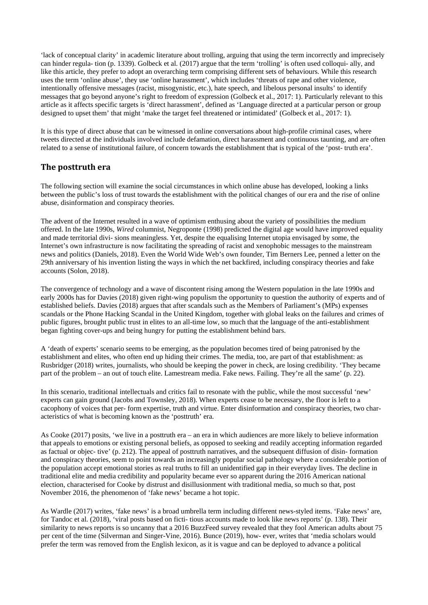'lack of conceptual clarity' in academic literature about trolling, arguing that using the term incorrectly and imprecisely can hinder regula- tion (p. 1339). Golbeck et al. (2017) argue that the term 'trolling' is often used colloqui- ally, and like this article, they prefer to adopt an overarching term comprising different sets of behaviours. While this research uses the term 'online abuse', they use 'online harassment', which includes 'threats of rape and other violence, intentionally offensive messages (racist, misogynistic, etc.), hate speech, and libelous personal insults' to identify messages that go beyond anyone's right to freedom of expression (Golbeck et al., 2017: 1). Particularly relevant to this article as it affects specific targets is 'direct harassment', defined as 'Language directed at a particular person or group designed to upset them' that might 'make the target feel threatened or intimidated' (Golbeck et al., 2017: 1).

It is this type of direct abuse that can be witnessed in online conversations about high-profile criminal cases, where tweets directed at the individuals involved include defamation, direct harassment and continuous taunting, and are often related to a sense of institutional failure, of concern towards the establishment that is typical of the 'post- truth era'.

## **The posttruth era**

The following section will examine the social circumstances in which online abuse has developed, looking a links between the public's loss of trust towards the establishment with the political changes of our era and the rise of online abuse, disinformation and conspiracy theories.

The advent of the Internet resulted in a wave of optimism enthusing about the variety of possibilities the medium offered. In the late 1990s, *Wired* columnist, Negroponte (1998) predicted the digital age would have improved equality and made territorial divi- sions meaningless. Yet, despite the equalising Internet utopia envisaged by some, the Internet's own infrastructure is now facilitating the spreading of racist and xenophobic messages to the mainstream news and politics (Daniels, 2018). Even the World Wide Web's own founder, Tim Berners Lee, penned a letter on the 29th anniversary of his invention listing the ways in which the net backfired, including conspiracy theories and fake accounts (Solon, 2018).

The convergence of technology and a wave of discontent rising among the Western population in the late 1990s and early 2000s has for Davies (2018) given right-wing populism the opportunity to question the authority of experts and of established beliefs. Davies (2018) argues that after scandals such as the Members of Parliament's (MPs) expenses scandals or the Phone Hacking Scandal in the United Kingdom, together with global leaks on the failures and crimes of public figures, brought public trust in elites to an all-time low, so much that the language of the anti-establishment began fighting cover-ups and being hungry for putting the establishment behind bars.

A 'death of experts' scenario seems to be emerging, as the population becomes tired of being patronised by the establishment and elites, who often end up hiding their crimes. The media, too, are part of that establishment: as Rusbridger (2018) writes, journalists, who should be keeping the power in check, are losing credibility. 'They became part of the problem – an out of touch elite. Lamestream media. Fake news. Failing. They're all the same' (p. 22).

In this scenario, traditional intellectuals and critics fail to resonate with the public, while the most successful 'new' experts can gain ground (Jacobs and Townsley, 2018). When experts cease to be necessary, the floor is left to a cacophony of voices that per- form expertise, truth and virtue. Enter disinformation and conspiracy theories, two characteristics of what is becoming known as the 'posttruth' era.

As Cooke (2017) posits, 'we live in a posttruth era – an era in which audiences are more likely to believe information that appeals to emotions or existing personal beliefs, as opposed to seeking and readily accepting information regarded as factual or objec- tive' (p. 212). The appeal of posttruth narratives, and the subsequent diffusion of disin- formation and conspiracy theories, seem to point towards an increasingly popular social pathology where a considerable portion of the population accept emotional stories as real truths to fill an unidentified gap in their everyday lives. The decline in traditional elite and media credibility and popularity became ever so apparent during the 2016 American national election, characterised for Cooke by distrust and disillusionment with traditional media, so much so that, post November 2016, the phenomenon of 'fake news' became a hot topic.

As Wardle (2017) writes, 'fake news' is a broad umbrella term including different news-styled items. 'Fake news' are, for Tandoc et al. (2018), 'viral posts based on ficti- tious accounts made to look like news reports' (p. 138). Their similarity to news reports is so uncanny that a 2016 BuzzFeed survey revealed that they fool American adults about 75 per cent of the time (Silverman and Singer-Vine, 2016). Bunce (2019), how- ever, writes that 'media scholars would prefer the term was removed from the English lexicon, as it is vague and can be deployed to advance a political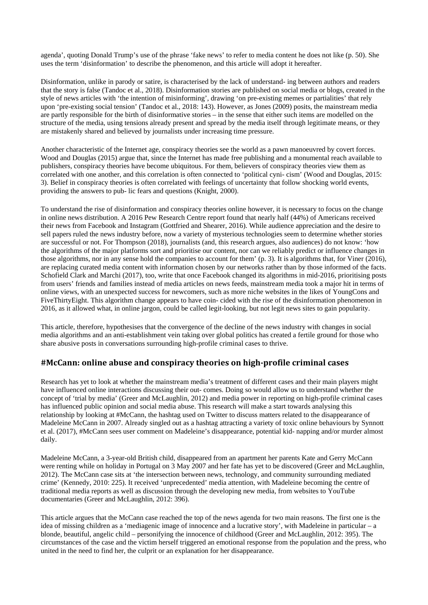agenda', quoting Donald Trump's use of the phrase 'fake news' to refer to media content he does not like (p. 50). She uses the term 'disinformation' to describe the phenomenon, and this article will adopt it hereafter.

Disinformation, unlike in parody or satire, is characterised by the lack of understand- ing between authors and readers that the story is false (Tandoc et al., 2018). Disinformation stories are published on social media or blogs, created in the style of news articles with 'the intention of misinforming', drawing 'on pre-existing memes or partialities' that rely upon 'pre-existing social tension' (Tandoc et al., 2018: 143). However, as Jones (2009) posits, the mainstream media are partly responsible for the birth of disinformative stories – in the sense that either such items are modelled on the structure of the media, using tensions already present and spread by the media itself through legitimate means, or they are mistakenly shared and believed by journalists under increasing time pressure.

Another characteristic of the Internet age, conspiracy theories see the world as a pawn manoeuvred by covert forces. Wood and Douglas (2015) argue that, since the Internet has made free publishing and a monumental reach available to publishers, conspiracy theories have become ubiquitous. For them, believers of conspiracy theories view them as correlated with one another, and this correlation is often connected to 'political cyni- cism' (Wood and Douglas, 2015: 3). Belief in conspiracy theories is often correlated with feelings of uncertainty that follow shocking world events, providing the answers to pub- lic fears and questions (Knight, 2000).

To understand the rise of disinformation and conspiracy theories online however, it is necessary to focus on the change in online news distribution. A 2016 Pew Research Centre report found that nearly half (44%) of Americans received their news from Facebook and Instagram (Gottfried and Shearer, 2016). While audience appreciation and the desire to sell papers ruled the news industry before, now a variety of mysterious technologies seem to determine whether stories are successful or not. For Thompson (2018), journalists (and, this research argues, also audiences) do not know: 'how the algorithms of the major platforms sort and prioritise our content, nor can we reliably predict or influence changes in those algorithms, nor in any sense hold the companies to account for them' (p. 3). It is algorithms that, for Viner (2016), are replacing curated media content with information chosen by our networks rather than by those informed of the facts. Schofield Clark and Marchi (2017), too, write that once Facebook changed its algorithms in mid-2016, prioritising posts from users' friends and families instead of media articles on news feeds, mainstream media took a major hit in terms of online views, with an unexpected success for newcomers, such as more niche websites in the likes of YoungCons and FiveThirtyEight. This algorithm change appears to have coin- cided with the rise of the disinformation phenomenon in 2016, as it allowed what, in online jargon, could be called legit-looking, but not legit news sites to gain popularity.

This article, therefore, hypothesises that the convergence of the decline of the news industry with changes in social media algorithms and an anti-establishment vein taking over global politics has created a fertile ground for those who share abusive posts in conversations surrounding high-profile criminal cases to thrive.

### **#McCann: online abuse and conspiracy theories on high-profile criminal cases**

Research has yet to look at whether the mainstream media's treatment of different cases and their main players might have influenced online interactions discussing their out- comes. Doing so would allow us to understand whether the concept of 'trial by media' (Greer and McLaughlin, 2012) and media power in reporting on high-profile criminal cases has influenced public opinion and social media abuse. This research will make a start towards analysing this relationship by looking at #McCann, the hashtag used on Twitter to discuss matters related to the disappearance of Madeleine McCann in 2007. Already singled out as a hashtag attracting a variety of toxic online behaviours by Synnott et al. (2017), #McCann sees user comment on Madeleine's disappearance, potential kid- napping and/or murder almost daily.

Madeleine McCann, a 3-year-old British child, disappeared from an apartment her parents Kate and Gerry McCann were renting while on holiday in Portugal on 3 May 2007 and her fate has yet to be discovered (Greer and McLaughlin, 2012). The McCann case sits at 'the intersection between news, technology, and community surrounding mediated crime' (Kennedy, 2010: 225). It received 'unprecedented' media attention, with Madeleine becoming the centre of traditional media reports as well as discussion through the developing new media, from websites to YouTube documentaries (Greer and McLaughlin, 2012: 396).

This article argues that the McCann case reached the top of the news agenda for two main reasons. The first one is the idea of missing children as a 'mediagenic image of innocence and a lucrative story', with Madeleine in particular – a blonde, beautiful, angelic child – personifying the innocence of childhood (Greer and McLaughlin, 2012: 395). The circumstances of the case and the victim herself triggered an emotional response from the population and the press, who united in the need to find her, the culprit or an explanation for her disappearance.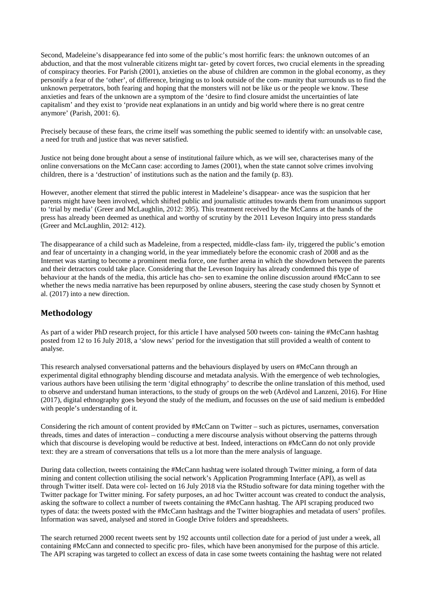Second, Madeleine's disappearance fed into some of the public's most horrific fears: the unknown outcomes of an abduction, and that the most vulnerable citizens might tar- geted by covert forces, two crucial elements in the spreading of conspiracy theories. For Parish (2001), anxieties on the abuse of children are common in the global economy, as they personify a fear of the 'other', of difference, bringing us to look outside of the com- munity that surrounds us to find the unknown perpetrators, both fearing and hoping that the monsters will not be like us or the people we know. These anxieties and fears of the unknown are a symptom of the 'desire to find closure amidst the uncertainties of late capitalism' and they exist to 'provide neat explanations in an untidy and big world where there is no great centre anymore' (Parish, 2001: 6).

Precisely because of these fears, the crime itself was something the public seemed to identify with: an unsolvable case, a need for truth and justice that was never satisfied.

Justice not being done brought about a sense of institutional failure which, as we will see, characterises many of the online conversations on the McCann case: according to James (2001), when the state cannot solve crimes involving children, there is a 'destruction' of institutions such as the nation and the family (p. 83).

However, another element that stirred the public interest in Madeleine's disappear- ance was the suspicion that her parents might have been involved, which shifted public and journalistic attitudes towards them from unanimous support to 'trial by media' (Greer and McLaughlin, 2012: 395). This treatment received by the McCanns at the hands of the press has already been deemed as unethical and worthy of scrutiny by the 2011 Leveson Inquiry into press standards (Greer and McLaughlin, 2012: 412).

The disappearance of a child such as Madeleine, from a respected, middle-class fam- ily, triggered the public's emotion and fear of uncertainty in a changing world, in the year immediately before the economic crash of 2008 and as the Internet was starting to become a prominent media force, one further arena in which the showdown between the parents and their detractors could take place. Considering that the Leveson Inquiry has already condemned this type of behaviour at the hands of the media, this article has cho- sen to examine the online discussion around #McCann to see whether the news media narrative has been repurposed by online abusers, steering the case study chosen by Synnott et al. (2017) into a new direction.

# **Methodology**

As part of a wider PhD research project, for this article I have analysed 500 tweets con- taining the #McCann hashtag posted from 12 to 16 July 2018, a 'slow news' period for the investigation that still provided a wealth of content to analyse.

This research analysed conversational patterns and the behaviours displayed by users on #McCann through an experimental digital ethnography blending discourse and metadata analysis. With the emergence of web technologies, various authors have been utilising the term 'digital ethnography' to describe the online translation of this method, used to observe and understand human interactions, to the study of groups on the web (Ardèvol and Lanzeni, 2016). For Hine (2017), digital ethnography goes beyond the study of the medium, and focusses on the use of said medium is embedded with people's understanding of it.

Considering the rich amount of content provided by #McCann on Twitter – such as pictures, usernames, conversation threads, times and dates of interaction – conducting a mere discourse analysis without observing the patterns through which that discourse is developing would be reductive at best. Indeed, interactions on #McCann do not only provide text: they are a stream of conversations that tells us a lot more than the mere analysis of language.

During data collection, tweets containing the #McCann hashtag were isolated through Twitter mining, a form of data mining and content collection utilising the social network's Application Programming Interface (API), as well as through Twitter itself. Data were col- lected on 16 July 2018 via the RStudio software for data mining together with the Twitter package for Twitter mining. For safety purposes, an ad hoc Twitter account was created to conduct the analysis, asking the software to collect a number of tweets containing the #McCann hashtag. The API scraping produced two types of data: the tweets posted with the #McCann hashtags and the Twitter biographies and metadata of users' profiles. Information was saved, analysed and stored in Google Drive folders and spreadsheets.

The search returned 2000 recent tweets sent by 192 accounts until collection date for a period of just under a week, all containing #McCann and connected to specific pro- files, which have been anonymised for the purpose of this article. The API scraping was targeted to collect an excess of data in case some tweets containing the hashtag were not related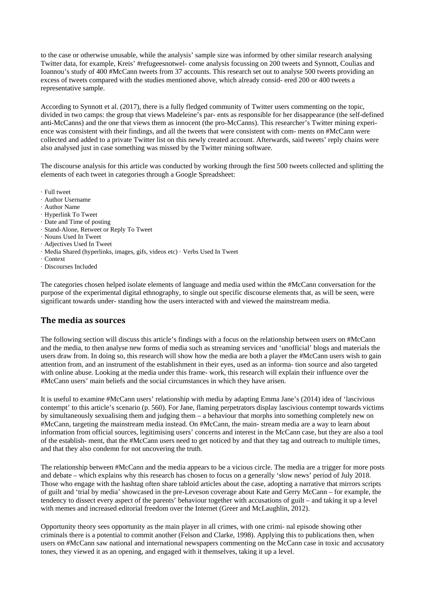to the case or otherwise unusable, while the analysis' sample size was informed by other similar research analysing Twitter data, for example, Kreis' #refugeesnotwel- come analysis focussing on 200 tweets and Synnott, Coulias and Ioannou's study of 400 #McCann tweets from 37 accounts. This research set out to analyse 500 tweets providing an excess of tweets compared with the studies mentioned above, which already consid- ered 200 or 400 tweets a representative sample.

According to Synnott et al. (2017), there is a fully fledged community of Twitter users commenting on the topic, divided in two camps: the group that views Madeleine's par- ents as responsible for her disappearance (the self-defined anti-McCanns) and the one that views them as innocent (the pro-McCanns). This researcher's Twitter mining experience was consistent with their findings, and all the tweets that were consistent with com- ments on #McCann were collected and added to a private Twitter list on this newly created account. Afterwards, said tweets' reply chains were also analysed just in case something was missed by the Twitter mining software.

The discourse analysis for this article was conducted by working through the first 500 tweets collected and splitting the elements of each tweet in categories through a Google Spreadsheet:

- · Full tweet
- · Author Username
- · Author Name
- · Hyperlink To Tweet
- · Date and Time of posting
- · Stand-Alone, Retweet or Reply To Tweet
- · Nouns Used In Tweet
- · Adjectives Used In Tweet
- · Media Shared (hyperlinks, images, gifs, videos etc) · Verbs Used In Tweet
- · Context
- · Discourses Included

The categories chosen helped isolate elements of language and media used within the #McCann conversation for the purpose of the experimental digital ethnography, to single out specific discourse elements that, as will be seen, were significant towards under- standing how the users interacted with and viewed the mainstream media.

### **The media as sources**

The following section will discuss this article's findings with a focus on the relationship between users on #McCann and the media, to then analyse new forms of media such as streaming services and 'unofficial' blogs and materials the users draw from. In doing so, this research will show how the media are both a player the #McCann users wish to gain attention from, and an instrument of the establishment in their eyes, used as an informa- tion source and also targeted with online abuse. Looking at the media under this frame- work, this research will explain their influence over the #McCann users' main beliefs and the social circumstances in which they have arisen.

It is useful to examine #McCann users' relationship with media by adapting Emma Jane's (2014) idea of 'lascivious contempt' to this article's scenario (p. 560). For Jane, flaming perpetrators display lascivious contempt towards victims by simultaneously sexualising them and judging them – a behaviour that morphs into something completely new on #McCann, targeting the mainstream media instead. On #McCann, the main- stream media are a way to learn about information from official sources, legitimising users' concerns and interest in the McCann case, but they are also a tool of the establish- ment, that the #McCann users need to get noticed by and that they tag and outreach to multiple times, and that they also condemn for not uncovering the truth.

The relationship between #McCann and the media appears to be a vicious circle. The media are a trigger for more posts and debate – which explains why this research has chosen to focus on a generally 'slow news' period of July 2018. Those who engage with the hashtag often share tabloid articles about the case, adopting a narrative that mirrors scripts of guilt and 'trial by media' showcased in the pre-Leveson coverage about Kate and Gerry McCann – for example, the tendency to dissect every aspect of the parents' behaviour together with accusations of guilt – and taking it up a level with memes and increased editorial freedom over the Internet (Greer and McLaughlin, 2012).

Opportunity theory sees opportunity as the main player in all crimes, with one crimi- nal episode showing other criminals there is a potential to commit another (Felson and Clarke, 1998). Applying this to publications then, when users on #McCann saw national and international newspapers commenting on the McCann case in toxic and accusatory tones, they viewed it as an opening, and engaged with it themselves, taking it up a level.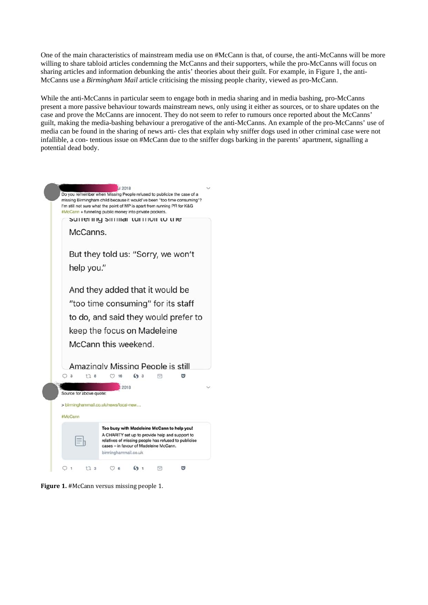One of the main characteristics of mainstream media use on #McCann is that, of course, the anti-McCanns will be more willing to share tabloid articles condemning the McCanns and their supporters, while the pro-McCanns will focus on sharing articles and information debunking the antis' theories about their guilt. For example, in Figure 1, the anti-McCanns use a *Birmingham Mail* article criticising the missing people charity, viewed as pro-McCann.

While the anti-McCanns in particular seem to engage both in media sharing and in media bashing, pro-McCanns present a more passive behaviour towards mainstream news, only using it either as sources, or to share updates on the case and prove the McCanns are innocent. They do not seem to refer to rumours once reported about the McCanns' guilt, making the media-bashing behaviour a prerogative of the anti-McCanns. An example of the pro-McCanns' use of media can be found in the sharing of news arti- cles that explain why sniffer dogs used in other criminal case were not infallible, a con- tentious issue on #McCann due to the sniffer dogs barking in the parents' apartment, signalling a potential dead body.



Figure 1. #McCann versus missing people 1.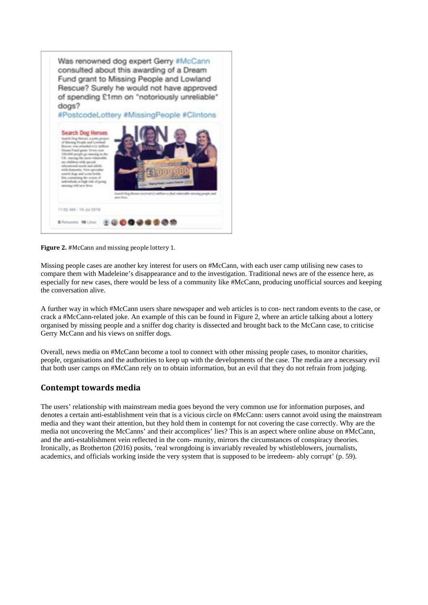

Figure 2. #McCann and missing people lottery 1.

Missing people cases are another key interest for users on #McCann, with each user camp utilising new cases to compare them with Madeleine's disappearance and to the investigation. Traditional news are of the essence here, as especially for new cases, there would be less of a community like #McCann, producing unofficial sources and keeping the conversation alive.

A further way in which #McCann users share newspaper and web articles is to con- nect random events to the case, or crack a #McCann-related joke. An example of this can be found in Figure 2, where an article talking about a lottery organised by missing people and a sniffer dog charity is dissected and brought back to the McCann case, to criticise Gerry McCann and his views on sniffer dogs.

Overall, news media on #McCann become a tool to connect with other missing people cases, to monitor charities, people, organisations and the authorities to keep up with the developments of the case. The media are a necessary evil that both user camps on #McCann rely on to obtain information, but an evil that they do not refrain from judging.

# **Contempt towards media**

The users' relationship with mainstream media goes beyond the very common use for information purposes, and denotes a certain anti-establishment vein that is a vicious circle on #McCann: users cannot avoid using the mainstream media and they want their attention, but they hold them in contempt for not covering the case correctly. Why are the media not uncovering the McCanns' and their accomplices' lies? This is an aspect where online abuse on #McCann, and the anti-establishment vein reflected in the com- munity, mirrors the circumstances of conspiracy theories. Ironically, as Brotherton (2016) posits, 'real wrongdoing is invariably revealed by whistleblowers, journalists, academics, and officials working inside the very system that is supposed to be irredeem- ably corrupt' (p. 59).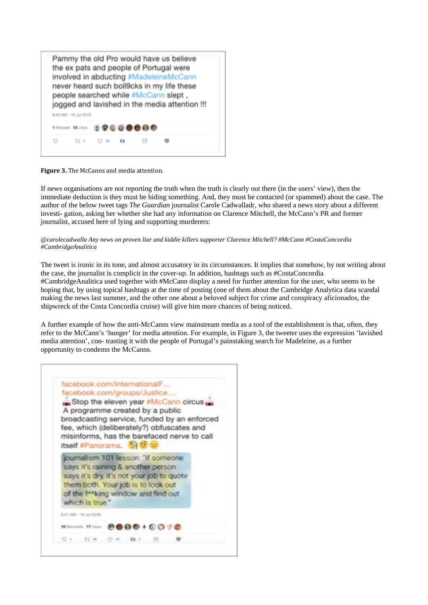|                       |  | involved in abducting #MadeleineMcCann<br>never heard such boll9cks in my life these<br>people searched while #McCann slept,<br>jogged and lavished in the media attention !!! |  |
|-----------------------|--|--------------------------------------------------------------------------------------------------------------------------------------------------------------------------------|--|
| 8:40 AM - 16 Jul 2018 |  |                                                                                                                                                                                |  |

**Figure 3.** The McCanns and media attention.

If news organisations are not reporting the truth when the truth is clearly out there (in the users' view), then the immediate deduction is they must be hiding something. And, they must be contacted (or spammed) about the case. The author of the below tweet tags *The Guardian* journalist Carole Cadwalladr, who shared a news story about a different investi- gation, asking her whether she had any information on Clarence Mitchell, the McCann's PR and former journalist, accused here of lying and supporting murderers:

*@carolecadwalla Any news on proven liar and kiddie killers supporter Clarence Mitchell? #McCann #CostaConcordia #CambridgeAnalitica* 

The tweet is ironic in its tone, and almost accusatory in its circumstances. It implies that somehow, by not writing about the case, the journalist is complicit in the cover-up. In addition, hashtags such as #CostaConcordia #CambridgeAnalitica used together with #McCann display a need for further attention for the user, who seems to be hoping that, by using topical hashtags at the time of posting (one of them about the Cambridge Analytica data scandal making the news last summer, and the other one about a beloved subject for crime and conspiracy aficionados, the shipwreck of the Costa Concordia cruise) will give him more chances of being noticed.

A further example of how the anti-McCanns view mainstream media as a tool of the establishment is that, often, they refer to the McCann's 'hunger' for media attention. For example, in Figure 3, the tweeter uses the expression 'lavished media attention', con- trasting it with the people of Portugal's painstaking search for Madeleine, as a further opportunity to condemn the McCanns.

facebook.com/InternationalF... facebook.com/groups/Justice... Stop the eleven year #McCann circus A programme created by a public broadcasting service, funded by an enforced fee, which (deliberately?) obfuscates and misinforms, has the barefaced nerve to call itself #Panorama, 1919 journalism 101 lesson: "If someone says it's raining & another person says it's dry, it's not your job to quote them both. Your job is to look out of the f\*\*king window and find out which is true." 8:51 AM - 18 Jul 2018 Ministra 8000+0070  $13.96 \t 0.91 \t 0.16 \t 0.001$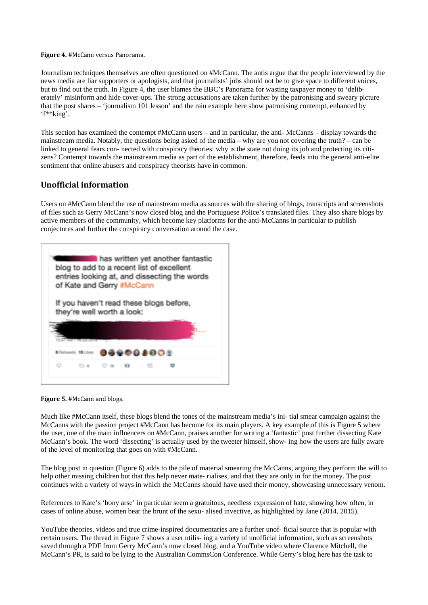**Figure 4.** #McCann versus Panorama.

Journalism techniques themselves are often questioned on #McCann. The antis argue that the people interviewed by the news media are liar supporters or apologists, and that journalists' jobs should not be to give space to different voices, but to find out the truth. In Figure 4, the user blames the BBC's Panorama for wasting taxpayer money to 'deliberately' misinform and hide cover-ups. The strong accusations are taken further by the patronising and sweary picture that the post shares – 'journalism 101 lesson' and the rain example here show patronising contempt, enhanced by 'f\*\*king'.

This section has examined the contempt #McCann users – and in particular, the anti- McCanns – display towards the mainstream media. Notably, the questions being asked of the media – why are you not covering the truth? – can be linked to general fears con- nected with conspiracy theories: why is the state not doing its job and protecting its citizens? Contempt towards the mainstream media as part of the establishment, therefore, feeds into the general anti-elite sentiment that online abusers and conspiracy theorists have in common.

# **Unofficial information**

Users on #McCann blend the use of mainstream media as sources with the sharing of blogs, transcripts and screenshots of files such as Gerry McCann's now closed blog and the Portuguese Police's translated files. They also share blogs by active members of the community, which become key platforms for the anti-McCanns in particular to publish conjectures and further the conspiracy conversation around the case.



Figure 5. #McCann and blogs.

Much like #McCann itself, these blogs blend the tones of the mainstream media's ini- tial smear campaign against the McCanns with the passion project #McCann has become for its main players. A key example of this is Figure 5 where the user, one of the main influencers on #McCann, praises another for writing a 'fantastic' post further dissecting Kate McCann's book. The word 'dissecting' is actually used by the tweeter himself, show- ing how the users are fully aware of the level of monitoring that goes on with #McCann.

The blog post in question (Figure 6) adds to the pile of material smearing the McCanns, arguing they perform the will to help other missing children but that this help never mate- rialises, and that they are only in for the money. The post continues with a variety of ways in which the McCanns should have used their money, showcasing unnecessary venom.

References to Kate's 'bony arse' in particular seem a gratuitous, needless expression of hate, showing how often, in cases of online abuse, women bear the brunt of the sexu- alised invective, as highlighted by Jane (2014, 2015).

YouTube theories, videos and true crime-inspired documentaries are a further unof- ficial source that is popular with certain users. The thread in Figure 7 shows a user utilis- ing a variety of unofficial information, such as screenshots saved through a PDF from Gerry McCann's now closed blog, and a YouTube video where Clarence Mitchell, the McCann's PR, is said to be lying to the Australian CommsCon Conference. While Gerry's blog here has the task to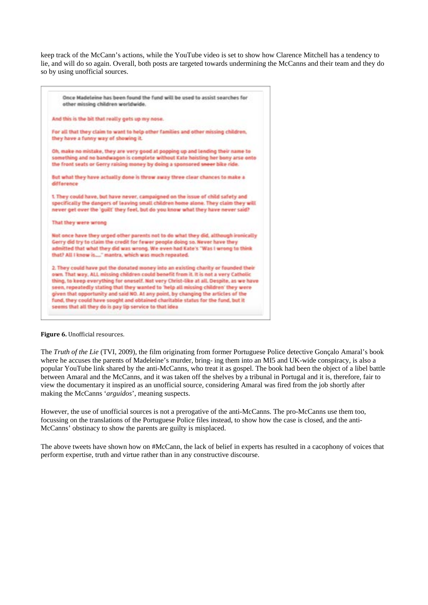keep track of the McCann's actions, while the YouTube video is set to show how Clarence Mitchell has a tendency to lie, and will do so again. Overall, both posts are targeted towards undermining the McCanns and their team and they do so by using unofficial sources.



**Figure 6.** Unofficial resources.

The *Truth of the Lie* (TVI, 2009), the film originating from former Portuguese Police detective Gonçalo Amaral's book where he accuses the parents of Madeleine's murder, bring- ing them into an MI5 and UK-wide conspiracy, is also a popular YouTube link shared by the anti-McCanns, who treat it as gospel. The book had been the object of a libel battle between Amaral and the McCanns, and it was taken off the shelves by a tribunal in Portugal and it is, therefore, fair to view the documentary it inspired as an unofficial source, considering Amaral was fired from the job shortly after making the McCanns '*arguidos*', meaning suspects.

However, the use of unofficial sources is not a prerogative of the anti-McCanns. The pro-McCanns use them too, focussing on the translations of the Portuguese Police files instead, to show how the case is closed, and the anti-McCanns' obstinacy to show the parents are guilty is misplaced.

The above tweets have shown how on #McCann, the lack of belief in experts has resulted in a cacophony of voices that perform expertise, truth and virtue rather than in any constructive discourse.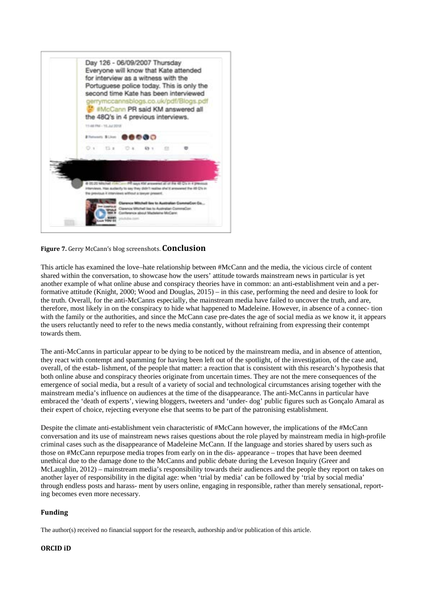

### **Figure 7.** Gerry McCann's blog screenshots. **Conclusion**

This article has examined the love–hate relationship between #McCann and the media, the vicious circle of content shared within the conversation, to showcase how the users' attitude towards mainstream news in particular is yet another example of what online abuse and conspiracy theories have in common: an anti-establishment vein and a performative attitude (Knight, 2000; Wood and Douglas, 2015) – in this case, performing the need and desire to look for the truth. Overall, for the anti-McCanns especially, the mainstream media have failed to uncover the truth, and are, therefore, most likely in on the conspiracy to hide what happened to Madeleine. However, in absence of a connec- tion with the family or the authorities, and since the McCann case pre-dates the age of social media as we know it, it appears the users reluctantly need to refer to the news media constantly, without refraining from expressing their contempt towards them.

The anti-McCanns in particular appear to be dying to be noticed by the mainstream media, and in absence of attention, they react with contempt and spamming for having been left out of the spotlight, of the investigation, of the case and, overall, of the estab- lishment, of the people that matter: a reaction that is consistent with this research's hypothesis that both online abuse and conspiracy theories originate from uncertain times. They are not the mere consequences of the emergence of social media, but a result of a variety of social and technological circumstances arising together with the mainstream media's influence on audiences at the time of the disappearance. The anti-McCanns in particular have embraced the 'death of experts', viewing bloggers, tweeters and 'under- dog' public figures such as Gonçalo Amaral as their expert of choice, rejecting everyone else that seems to be part of the patronising establishment.

Despite the climate anti-establishment vein characteristic of #McCann however, the implications of the #McCann conversation and its use of mainstream news raises questions about the role played by mainstream media in high-profile criminal cases such as the disappearance of Madeleine McCann. If the language and stories shared by users such as those on #McCann repurpose media tropes from early on in the dis- appearance – tropes that have been deemed unethical due to the damage done to the McCanns and public debate during the Leveson Inquiry (Greer and McLaughlin, 2012) – mainstream media's responsibility towards their audiences and the people they report on takes on another layer of responsibility in the digital age: when 'trial by media' can be followed by 'trial by social media' through endless posts and harass- ment by users online, engaging in responsible, rather than merely sensational, reporting becomes even more necessary.

#### **Funding**

The author(s) received no financial support for the research, authorship and/or publication of this article.

#### **ORCID iD**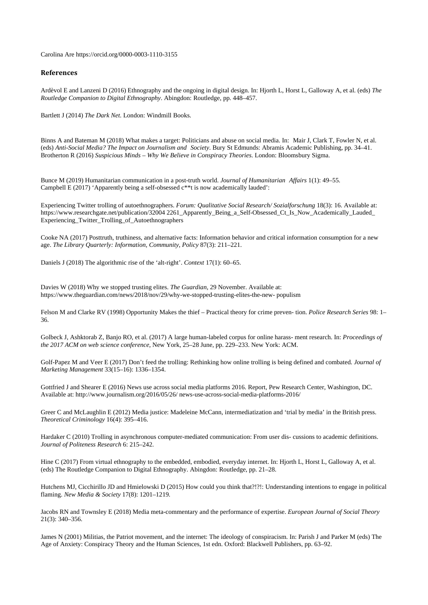Carolina Are https://orcid.org/0000-0003-1110-3155

#### **References**

Ardèvol E and Lanzeni D (2016) Ethnography and the ongoing in digital design. In: Hjorth L, Horst L, Galloway A, et al. (eds) *The Routledge Companion to Digital Ethnography*. Abingdon: Routledge, pp. 448–457.

Bartlett J (2014) *The Dark Net*. London: Windmill Books.

Binns A and Bateman M (2018) What makes a target: Politicians and abuse on social media. In: Mair J, Clark T, Fowler N, et al. (eds) *Anti-Social Media? The Impact on Journalism and Society*. Bury St Edmunds: Abramis Academic Publishing, pp. 34–41. Brotherton R (2016) *Suspicious Minds – Why We Believe in Conspiracy Theories*. London: Bloomsbury Sigma.

Bunce M (2019) Humanitarian communication in a post-truth world. *Journal of Humanitarian Affairs* 1(1): 49–55. Campbell E (2017) 'Apparently being a self-obsessed c\*\*t is now academically lauded':

Experiencing Twitter trolling of autoethnographers. *Forum: Qualitative Social Research/ Sozialforschung* 18(3): 16. Available at: https://www.researchgate.net/publication/32004 2261\_Apparently\_Being\_a\_Self-Obsessed\_Ct\_Is\_Now\_Academically\_Lauded\_ Experiencing\_Twitter\_Trolling\_of\_Autoethnographers

Cooke NA (2017) Posttruth, truthiness, and alternative facts: Information behavior and critical information consumption for a new age. *The Library Quarterly: Information, Community, Policy* 87(3): 211–221.

Daniels J (2018) The algorithmic rise of the 'alt-right'. *Context* 17(1): 60–65.

Davies W (2018) Why we stopped trusting elites. *The Guardian*, 29 November. Available at: https://www.theguardian.com/news/2018/nov/29/why-we-stopped-trusting-elites-the-new- populism

Felson M and Clarke RV (1998) Opportunity Makes the thief – Practical theory for crime preven- tion. *Police Research Series* 98: 1– 36.

Golbeck J, Ashktorab Z, Banjo RO, et al. (2017) A large human-labeled corpus for online harass- ment research. In: *Proceedings of the 2017 ACM on web science conference*, New York, 25–28 June, pp. 229–233. New York: ACM.

Golf-Papez M and Veer E (2017) Don't feed the trolling: Rethinking how online trolling is being defined and combated. *Journal of Marketing Management* 33(15–16): 1336–1354.

Gottfried J and Shearer E (2016) News use across social media platforms 2016. Report, Pew Research Center, Washington, DC. Available at: http://www.journalism.org/2016/05/26/ news-use-across-social-media-platforms-2016/

Greer C and McLaughlin E (2012) Media justice: Madeleine McCann, intermediatization and 'trial by media' in the British press. *Theoretical Criminology* 16(4): 395–416.

Hardaker C (2010) Trolling in asynchronous computer-mediated communication: From user dis- cussions to academic definitions. *Journal of Politeness Research* 6: 215–242.

Hine C (2017) From virtual ethnography to the embedded, embodied, everyday internet. In: Hiorth L, Horst L, Galloway A, et al. (eds) The Routledge Companion to Digital Ethnography. Abingdon: Routledge, pp. 21–28.

Hutchens MJ, Cicchirillo JD and Hmielowski D (2015) How could you think that?!?!: Understanding intentions to engage in political flaming. *New Media & Society* 17(8): 1201–1219.

Jacobs RN and Townsley E (2018) Media meta-commentary and the performance of expertise. *European Journal of Social Theory*  21(3): 340–356.

James N (2001) Militias, the Patriot movement, and the internet: The ideology of conspiracism. In: Parish J and Parker M (eds) The Age of Anxiety: Conspiracy Theory and the Human Sciences, 1st edn. Oxford: Blackwell Publishers, pp. 63–92.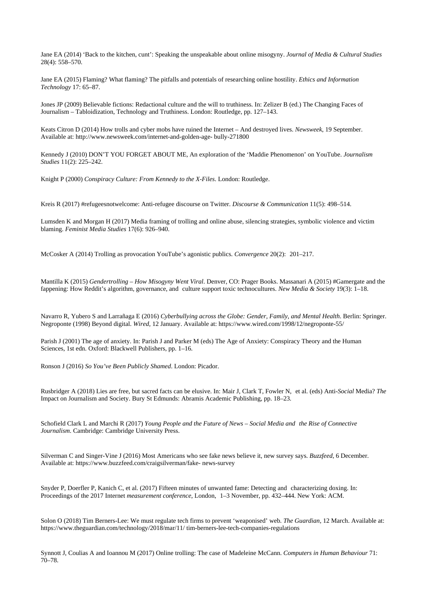Jane EA (2014) 'Back to the kitchen, cunt': Speaking the unspeakable about online misogyny. *Journal of Media & Cultural Studies*  28(4): 558–570.

Jane EA (2015) Flaming? What flaming? The pitfalls and potentials of researching online hostility. *Ethics and Information Technology* 17: 65–87.

Jones JP (2009) Believable fictions: Redactional culture and the will to truthiness. In: Zelizer B (ed.) The Changing Faces of Journalism *–* Tabloidization, Technology and Truthiness. London: Routledge, pp. 127–143.

Keats Citron D (2014) How trolls and cyber mobs have ruined the Internet – And destroyed lives. *Newsweek*, 19 September. Available at: http://www.newsweek.com/internet-and-golden-age- bully-271800

Kennedy J (2010) DON'T YOU FORGET ABOUT ME, An exploration of the 'Maddie Phenomenon' on YouTube. *Journalism Studies* 11(2): 225–242.

Knight P (2000) *Conspiracy Culture: From Kennedy to the X-Files*. London: Routledge.

Kreis R (2017) #refugeesnotwelcome: Anti-refugee discourse on Twitter. *Discourse & Communication* 11(5): 498–514.

Lumsden K and Morgan H (2017) Media framing of trolling and online abuse, silencing strategies, symbolic violence and victim blaming. *Feminist Media Studies* 17(6): 926–940.

McCosker A (2014) Trolling as provocation YouTube's agonistic publics. *Convergence* 20(2): 201–217.

Mantilla K (2015) *Gendertrolling – How Misogyny Went Viral*. Denver, CO: Prager Books. Massanari A (2015) #Gamergate and the fappening: How Reddit's algorithm, governance, and culture support toxic technocultures. *New Media & Society* 19(3): 1–18.

Navarro R, Yubero S and Larrañaga E (2016) *Cyberbullying across the Globe: Gender, Family, and Mental Health*. Berlin: Springer. Negroponte (1998) Beyond digital. *Wired*, 12 January. Available at: https://www.wired.com/1998/12/negroponte-55/

Parish J (2001) The age of anxiety. In: Parish J and Parker M (eds) The Age of Anxiety: Conspiracy Theory and the Human Sciences, 1st edn. Oxford: Blackwell Publishers, pp. 1–16.

Ronson J (2016) *So You've Been Publicly Shamed*. London: Picador.

Rusbridger A (2018) Lies are free, but sacred facts can be elusive. In: Mair J, Clark T, Fowler N, et al. (eds) Anti-*Social* Media? *The*  Impact on Journalism and Society. Bury St Edmunds: Abramis Academic Publishing, pp. 18–23.

Schofield Clark L and Marchi R (2017) *Young People and the Future of News – Social Media and the Rise of Connective Journalism*. Cambridge: Cambridge University Press.

Silverman C and Singer-Vine J (2016) Most Americans who see fake news believe it, new survey says. *Buzzfeed*, 6 December. Available at: https://www.buzzfeed.com/craigsilverman/fake- news-survey

Snyder P, Doerfler P, Kanich C, et al. (2017) Fifteen minutes of unwanted fame: Detecting and characterizing doxing. In: Proceedings of the 2017 Internet *measurement conference*, London, 1–3 November, pp. 432–444. New York: ACM.

Solon O (2018) Tim Berners-Lee: We must regulate tech firms to prevent 'weaponised' web. *The Guardian*, 12 March. Available at: https://www.theguardian.com/technology/2018/mar/11/ tim-berners-lee-tech-companies-regulations

Synnott J, Coulias A and Ioannou M (2017) Online trolling: The case of Madeleine McCann. *Computers in Human Behaviour* 71: 70–78.